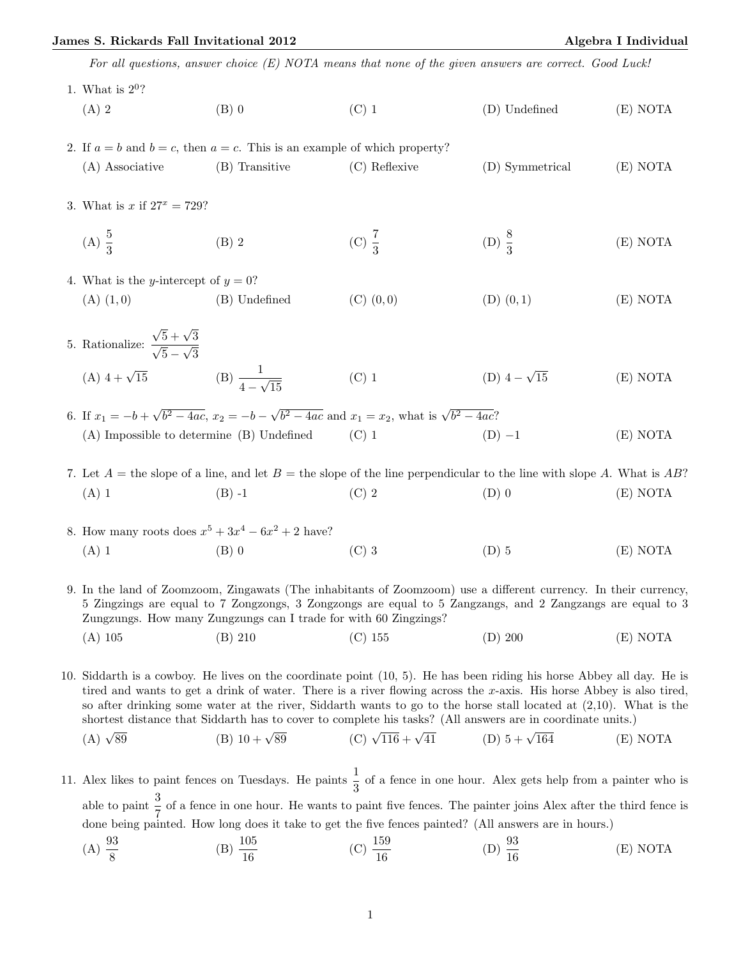## James S. Rickards Fall Invitational 2012 Algebra I Individual

For all questions, answer choice (E) NOTA means that none of the given answers are correct. Good Luck!

| 1. What is $2^0$ ?                                                                                                        |                |                   |                     |          |  |  |  |
|---------------------------------------------------------------------------------------------------------------------------|----------------|-------------------|---------------------|----------|--|--|--|
| $(A)$ 2                                                                                                                   | $(B)$ 0        | $(C)$ 1           | (D) Undefined       | (E) NOTA |  |  |  |
|                                                                                                                           |                |                   |                     |          |  |  |  |
| 2. If $a = b$ and $b = c$ , then $a = c$ . This is an example of which property?                                          |                |                   |                     |          |  |  |  |
| $(A)$ Associative                                                                                                         | (B) Transitive | (C) Reflexive     | (D) Symmetrical     | (E) NOTA |  |  |  |
|                                                                                                                           |                |                   |                     |          |  |  |  |
| 3. What is x if $27^x = 729$ ?                                                                                            |                |                   |                     |          |  |  |  |
| (A) $\frac{5}{3}$                                                                                                         | $(B)$ 2        | (C) $\frac{7}{3}$ | (D) $\frac{8}{3}$   | (E) NOTA |  |  |  |
|                                                                                                                           |                |                   |                     |          |  |  |  |
| 4. What is the <i>y</i> -intercept of $y = 0$ ?                                                                           |                |                   |                     |          |  |  |  |
| $(A)$ $(1,0)$                                                                                                             | (B) Undefined  | $(C)$ $(0,0)$     | $(D)$ $(0,1)$       | (E) NOTA |  |  |  |
|                                                                                                                           |                |                   |                     |          |  |  |  |
| 5. Rationalize: $\frac{\sqrt{5} + \sqrt{3}}{\sqrt{5} - \sqrt{3}}$                                                         |                |                   |                     |          |  |  |  |
| (A) $4 + \sqrt{15}$ (B) $\frac{1}{4 - \sqrt{15}}$                                                                         |                |                   |                     |          |  |  |  |
|                                                                                                                           |                | $(C)$ 1           | (D) $4 - \sqrt{15}$ | (E) NOTA |  |  |  |
| 6. If $x_1 = -b + \sqrt{b^2 - 4ac}$ , $x_2 = -b - \sqrt{b^2 - 4ac}$ and $x_1 = x_2$ , what is $\sqrt{b^2 - 4ac}$ ?        |                |                   |                     |          |  |  |  |
| $(A)$ Impossible to determine $(B)$ Undefined                                                                             |                | $(C)$ 1           | $(D) -1$            | (E) NOTA |  |  |  |
|                                                                                                                           |                |                   |                     |          |  |  |  |
| 7. Let $A =$ the slope of a line, and let $B =$ the slope of the line perpendicular to the line with slope A. What is AB? |                |                   |                     |          |  |  |  |
| $(A)$ 1                                                                                                                   | $(B) -1$ (C) 2 |                   | $(D)$ 0             | (E) NOTA |  |  |  |

8. How many roots does 
$$
x^5 + 3x^4 - 6x^2 + 2
$$
 have?  
\n(A) 1 (B) 0 (C) 3 (D) 5 (E) NOTA

9. In the land of Zoomzoom, Zingawats (The inhabitants of Zoomzoom) use a different currency. In their currency, 5 Zingzings are equal to 7 Zongzongs, 3 Zongzongs are equal to 5 Zangzangs, and 2 Zangzangs are equal to 3 Zungzungs. How many Zungzungs can I trade for with 60 Zingzings? (A) 105 (B) 210 (C) 155 (D) 200 (E) NOTA

10. Siddarth is a cowboy. He lives on the coordinate point (10, 5). He has been riding his horse Abbey all day. He is tired and wants to get a drink of water. There is a river flowing across the  $x$ -axis. His horse Abbey is also tired, so after drinking some water at the river, Siddarth wants to go to the horse stall located at (2,10). What is the shortest distance that Siddarth has to cover to complete his tasks? (All answers are in coordinate units.)

(A) 
$$
\sqrt{89}
$$
 (B)  $10 + \sqrt{89}$  (C)  $\sqrt{116} + \sqrt{41}$  (D)  $5 + \sqrt{164}$  (E) NOTA

11. Alex likes to paint fences on Tuesdays. He paints  $\frac{1}{3}$  of a fence in one hour. Alex gets help from a painter who is able to paint  $\frac{3}{7}$  of a fence in one hour. He wants to paint five fences. The painter joins Alex after the third fence is done being painted. How long does it take to get the five fences painted? (All answers are in hours.)

(A) 
$$
\frac{93}{8}
$$
 \t\t (B)  $\frac{105}{16}$  \t\t (C)  $\frac{159}{16}$  \t\t (D)  $\frac{93}{16}$  \t\t (E) NOTA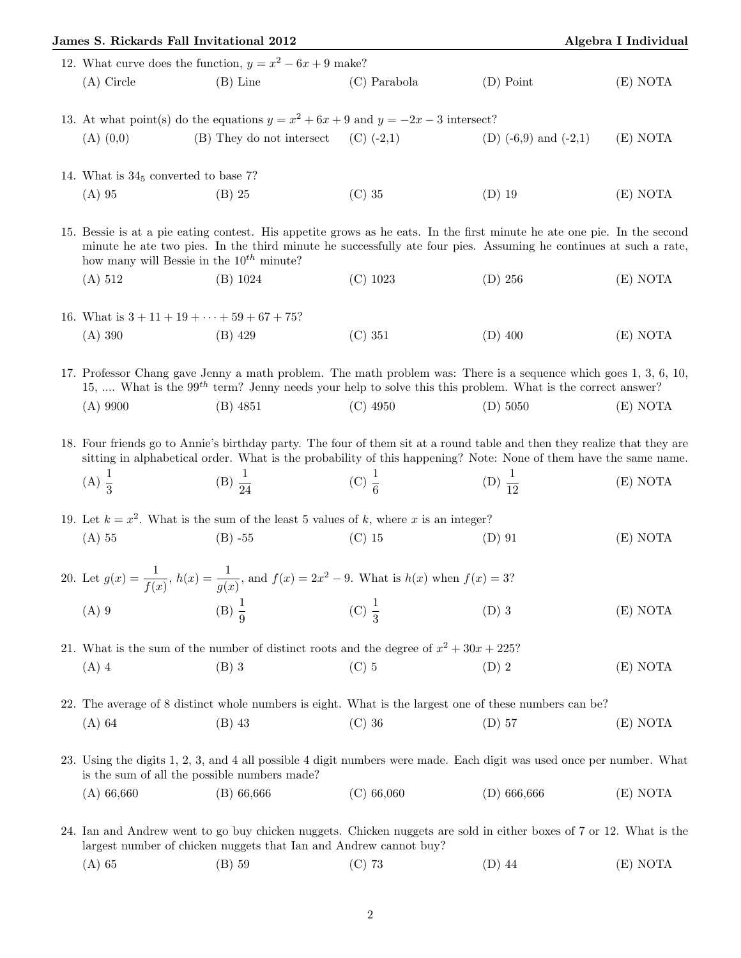| James S. Rickards Fall Invitational 2012                                                                                                                                                                                                                                                     |                                                                                           | Algebra I Individual |                           |          |  |  |  |
|----------------------------------------------------------------------------------------------------------------------------------------------------------------------------------------------------------------------------------------------------------------------------------------------|-------------------------------------------------------------------------------------------|----------------------|---------------------------|----------|--|--|--|
|                                                                                                                                                                                                                                                                                              | 12. What curve does the function, $y = x^2 - 6x + 9$ make?                                |                      |                           |          |  |  |  |
| $(A)$ Circle                                                                                                                                                                                                                                                                                 | $(B)$ Line                                                                                | $(C)$ Parabola       | $(D)$ Point               | (E) NOTA |  |  |  |
|                                                                                                                                                                                                                                                                                              | 13. At what point(s) do the equations $y = x^2 + 6x + 9$ and $y = -2x - 3$ intersect?     |                      |                           |          |  |  |  |
| $(A)$ $(0,0)$                                                                                                                                                                                                                                                                                | (B) They do not intersect                                                                 | $(C)$ (-2,1)         | (D) $(-6,9)$ and $(-2,1)$ | (E) NOTA |  |  |  |
| 14. What is $345$ converted to base 7?                                                                                                                                                                                                                                                       |                                                                                           |                      |                           |          |  |  |  |
| $(A)$ 95                                                                                                                                                                                                                                                                                     | $(B)$ 25                                                                                  | $(C)$ 35             | $(D)$ 19                  | (E) NOTA |  |  |  |
| 15. Bessie is at a pie eating contest. His appetite grows as he eats. In the first minute he ate one pie. In the second<br>minute he ate two pies. In the third minute he successfully ate four pies. Assuming he continues at such a rate,<br>how many will Bessie in the $10^{th}$ minute? |                                                                                           |                      |                           |          |  |  |  |
| (A) 512                                                                                                                                                                                                                                                                                      | (B) 1024                                                                                  | $(C)$ 1023           | $(D)$ 256                 | (E) NOTA |  |  |  |
| 16. What is $3 + 11 + 19 + \cdots + 59 + 67 + 75$ ?                                                                                                                                                                                                                                          |                                                                                           |                      |                           |          |  |  |  |
| (A) 390                                                                                                                                                                                                                                                                                      | $(B)$ 429                                                                                 | (C) 351              | $(D)$ 400                 | (E) NOTA |  |  |  |
| 17. Professor Chang gave Jenny a math problem. The math problem was: There is a sequence which goes 1, 3, 6, 10,<br>15,  What is the 99 <sup>th</sup> term? Jenny needs your help to solve this this problem. What is the correct answer?                                                    |                                                                                           |                      |                           |          |  |  |  |
| $(A)$ 9900                                                                                                                                                                                                                                                                                   | $(B)$ 4851                                                                                | $(C)$ 4950           | (D) 5050                  | (E) NOTA |  |  |  |
| 18. Four friends go to Annie's birthday party. The four of them sit at a round table and then they realize that they are<br>sitting in alphabetical order. What is the probability of this happening? Note: None of them have the same name.                                                 |                                                                                           |                      |                           |          |  |  |  |
| (A) $\frac{1}{3}$                                                                                                                                                                                                                                                                            | (B) $\frac{1}{24}$                                                                        | (C) $\frac{1}{6}$    | (D) $\frac{1}{12}$        | (E) NOTA |  |  |  |
| 19. Let $k = x^2$ . What is the sum of the least 5 values of k, where x is an integer?                                                                                                                                                                                                       |                                                                                           |                      |                           |          |  |  |  |
| $(A)$ 55                                                                                                                                                                                                                                                                                     | $(B) -55$                                                                                 | $(C)$ 15             | $(D)$ 91                  | (E) NOTA |  |  |  |
| 20. Let $g(x) = \frac{1}{f(x)}$ , $h(x) = \frac{1}{g(x)}$ , and $f(x) = 2x^2 - 9$ . What is $h(x)$ when $f(x) = 3$ ?                                                                                                                                                                         |                                                                                           |                      |                           |          |  |  |  |
| $(A)$ 9                                                                                                                                                                                                                                                                                      | (B) $\frac{1}{9}$                                                                         | (C) $\frac{1}{3}$    | $(D)$ 3                   | (E) NOTA |  |  |  |
|                                                                                                                                                                                                                                                                                              | 21. What is the sum of the number of distinct roots and the degree of $x^2 + 30x + 225$ ? |                      |                           |          |  |  |  |
| $(A)$ 4                                                                                                                                                                                                                                                                                      | $(B)$ 3                                                                                   | $(C)$ 5              | $(D)$ 2                   | (E) NOTA |  |  |  |
| 22. The average of 8 distinct whole numbers is eight. What is the largest one of these numbers can be?                                                                                                                                                                                       |                                                                                           |                      |                           |          |  |  |  |
| $(A)$ 64                                                                                                                                                                                                                                                                                     | $(B)$ 43                                                                                  | $(C)$ 36             | $(D)$ 57                  | (E) NOTA |  |  |  |
| 23. Using the digits 1, 2, 3, and 4 all possible 4 digit numbers were made. Each digit was used once per number. What<br>is the sum of all the possible numbers made?                                                                                                                        |                                                                                           |                      |                           |          |  |  |  |
| (A) 66,660                                                                                                                                                                                                                                                                                   | $(B)$ 66,666                                                                              | (C) 66,060           | $(D)$ 666,666             | (E) NOTA |  |  |  |
| 24. Ian and Andrew went to go buy chicken nuggets. Chicken nuggets are sold in either boxes of 7 or 12. What is the<br>largest number of chicken nuggets that Ian and Andrew cannot buy?                                                                                                     |                                                                                           |                      |                           |          |  |  |  |
| $(A)$ 65                                                                                                                                                                                                                                                                                     | $(B)$ 59                                                                                  | $(C)$ 73             | $(D)$ 44                  | (E) NOTA |  |  |  |
|                                                                                                                                                                                                                                                                                              |                                                                                           |                      |                           |          |  |  |  |